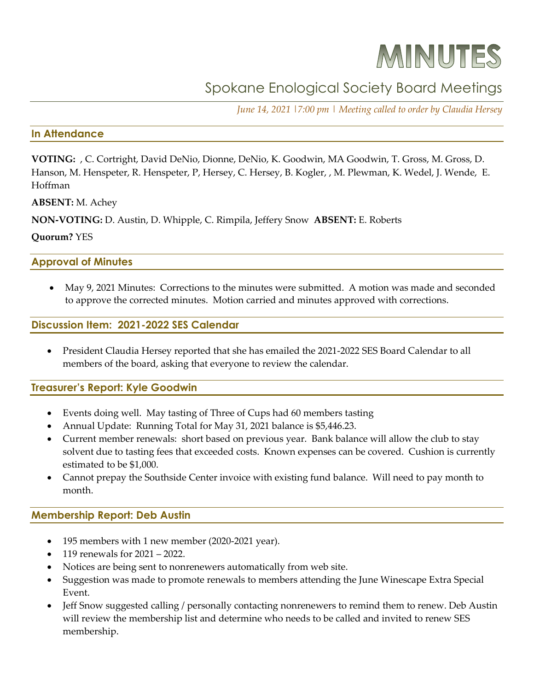# MINUTES

# Spokane Enological Society Board Meetings

*June 14, 2021 |7:00 pm | Meeting called to order by Claudia Hersey*

#### **In Attendance**

**VOTING:** , C. Cortright, David DeNio, Dionne, DeNio, K. Goodwin, MA Goodwin, T. Gross, M. Gross, D. Hanson, M. Henspeter, R. Henspeter, P, Hersey, C. Hersey, B. Kogler, , M. Plewman, K. Wedel, J. Wende, E. Hoffman

**ABSENT:** M. Achey

**NON-VOTING:** D. Austin, D. Whipple, C. Rimpila, Jeffery Snow **ABSENT:** E. Roberts

# **Quorum?** YES

# **Approval of Minutes**

• May 9, 2021 Minutes: Corrections to the minutes were submitted. A motion was made and seconded to approve the corrected minutes. Motion carried and minutes approved with corrections.

# **Discussion Item: 2021-2022 SES Calendar**

• President Claudia Hersey reported that she has emailed the 2021-2022 SES Board Calendar to all members of the board, asking that everyone to review the calendar.

# **Treasurer's Report: Kyle Goodwin**

- Events doing well. May tasting of Three of Cups had 60 members tasting
- Annual Update: Running Total for May 31, 2021 balance is \$5,446.23.
- Current member renewals: short based on previous year. Bank balance will allow the club to stay solvent due to tasting fees that exceeded costs. Known expenses can be covered. Cushion is currently estimated to be \$1,000.
- Cannot prepay the Southside Center invoice with existing fund balance. Will need to pay month to month.

# **Membership Report: Deb Austin**

- 195 members with 1 new member (2020-2021 year).
- 119 renewals for 2021 2022.
- Notices are being sent to nonrenewers automatically from web site.
- Suggestion was made to promote renewals to members attending the June Winescape Extra Special Event.
- Jeff Snow suggested calling / personally contacting nonrenewers to remind them to renew. Deb Austin will review the membership list and determine who needs to be called and invited to renew SES membership.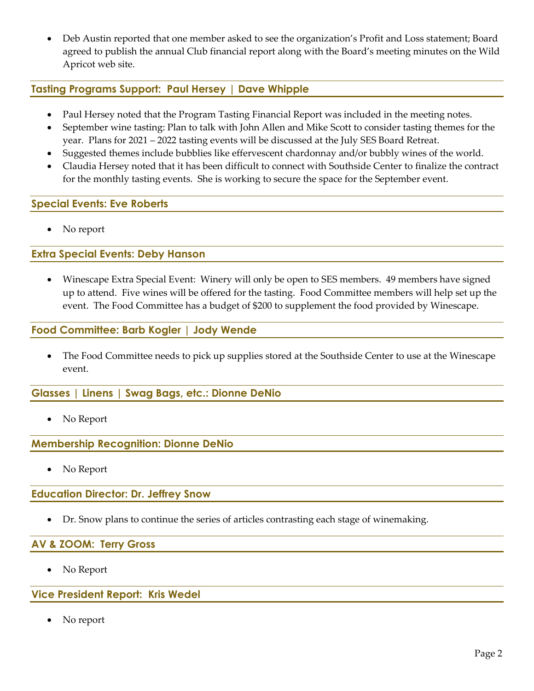• Deb Austin reported that one member asked to see the organization's Profit and Loss statement; Board agreed to publish the annual Club financial report along with the Board's meeting minutes on the Wild Apricot web site.

# **Tasting Programs Support: Paul Hersey | Dave Whipple**

- Paul Hersey noted that the Program Tasting Financial Report was included in the meeting notes.
- September wine tasting: Plan to talk with John Allen and Mike Scott to consider tasting themes for the year. Plans for 2021 – 2022 tasting events will be discussed at the July SES Board Retreat.
- Suggested themes include bubblies like effervescent chardonnay and/or bubbly wines of the world.
- Claudia Hersey noted that it has been difficult to connect with Southside Center to finalize the contract for the monthly tasting events. She is working to secure the space for the September event.

# **Special Events: Eve Roberts**

No report

**Extra Special Events: Deby Hanson**

• Winescape Extra Special Event: Winery will only be open to SES members. 49 members have signed up to attend. Five wines will be offered for the tasting. Food Committee members will help set up the event. The Food Committee has a budget of \$200 to supplement the food provided by Winescape.

# **Food Committee: Barb Kogler | Jody Wende**

• The Food Committee needs to pick up supplies stored at the Southside Center to use at the Winescape event.

**Glasses | Linens | Swag Bags, etc.: Dionne DeNio**

• No Report

**Membership Recognition: Dionne DeNio**

No Report

**Education Director: Dr. Jeffrey Snow**

• Dr. Snow plans to continue the series of articles contrasting each stage of winemaking.

**AV & ZOOM: Terry Gross**

• No Report

# **Vice President Report: Kris Wedel**

No report